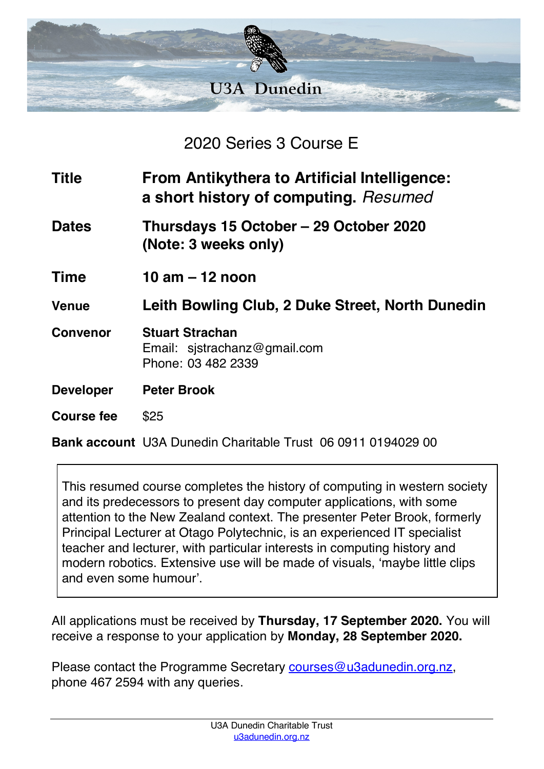

2020 Series 3 Course E

| <b>Title</b>     | <b>From Antikythera to Artificial Intelligence:</b><br>a short history of computing. Resumed |
|------------------|----------------------------------------------------------------------------------------------|
| <b>Dates</b>     | Thursdays 15 October – 29 October 2020<br>(Note: 3 weeks only)                               |
| <b>Time</b>      | 10 am $-$ 12 noon                                                                            |
| <b>Venue</b>     | Leith Bowling Club, 2 Duke Street, North Dunedin                                             |
| <b>Convenor</b>  | <b>Stuart Strachan</b><br>Email: $s$ jstrachanz@gmail.com<br>Phone: 03 482 2339              |
| <b>Developer</b> | <b>Peter Brook</b>                                                                           |
| Course fee       | \$25                                                                                         |
|                  | <b>Bank account</b> U3A Dunedin Charitable Trust 06 0911 0194029 00                          |

This resumed course completes the history of computing in western society and its predecessors to present day computer applications, with some attention to the New Zealand context. The presenter Peter Brook, formerly Principal Lecturer at Otago Polytechnic, is an experienced IT specialist teacher and lecturer, with particular interests in computing history and modern robotics. Extensive use will be made of visuals, 'maybe little clips and even some humour'.

All applications must be received by **Thursday, 17 September 2020.** You will receive a response to your application by **Monday, 28 September 2020.**

Please contact the Programme Secretary courses@u3adunedin.org.nz, phone 467 2594 with any queries.